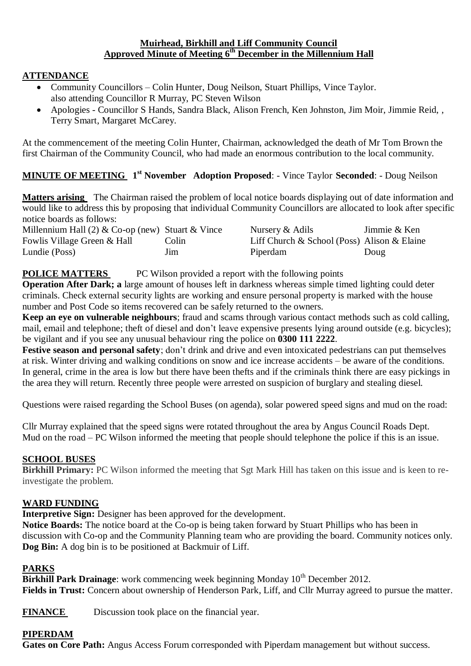### **Muirhead, Birkhill and Liff Community Council Approved Minute of Meeting 6 th December in the Millennium Hall**

# **ATTENDANCE**

- Community Councillors Colin Hunter, Doug Neilson, Stuart Phillips, Vince Taylor. also attending Councillor R Murray, PC Steven Wilson
- Apologies Councillor S Hands, Sandra Black, Alison French, Ken Johnston, Jim Moir, Jimmie Reid, , Terry Smart, Margaret McCarey.

At the commencement of the meeting Colin Hunter, Chairman, acknowledged the death of Mr Tom Brown the first Chairman of the Community Council, who had made an enormous contribution to the local community.

# **MINUTE OF MEETING 1 st November Adoption Proposed**: - Vince Taylor **Seconded**: - Doug Neilson

**Matters arising** The Chairman raised the problem of local notice boards displaying out of date information and would like to address this by proposing that individual Community Councillors are allocated to look after specific notice boards as follows:

| Millennium Hall (2) & Co-op (new) Stuart & Vince | Nursery & Adils | Jimmie & Ken                                |
|--------------------------------------------------|-----------------|---------------------------------------------|
| Colin                                            |                 |                                             |
| Jim                                              | Piperdam        | Doug                                        |
|                                                  |                 | Liff Church & School (Poss) Alison & Elaine |

**POLICE MATTERS** PC Wilson provided a report with the following points

**Operation After Dark; a** large amount of houses left in darkness whereas simple timed lighting could deter criminals. Check external security lights are working and ensure personal property is marked with the house number and Post Code so items recovered can be safely returned to the owners.

**Keep an eye on vulnerable neighbours**; fraud and scams through various contact methods such as cold calling, mail, email and telephone; theft of diesel and don't leave expensive presents lying around outside (e.g. bicycles); be vigilant and if you see any unusual behaviour ring the police on **0300 111 2222**.

**Festive season and personal safety**; don't drink and drive and even intoxicated pedestrians can put themselves at risk. Winter driving and walking conditions on snow and ice increase accidents – be aware of the conditions. In general, crime in the area is low but there have been thefts and if the criminals think there are easy pickings in the area they will return. Recently three people were arrested on suspicion of burglary and stealing diesel.

Questions were raised regarding the School Buses (on agenda), solar powered speed signs and mud on the road:

Cllr Murray explained that the speed signs were rotated throughout the area by Angus Council Roads Dept. Mud on the road – PC Wilson informed the meeting that people should telephone the police if this is an issue.

### **SCHOOL BUSES**

**Birkhill Primary:** PC Wilson informed the meeting that Sgt Mark Hill has taken on this issue and is keen to reinvestigate the problem.

### **WARD FUNDING**

**Interpretive Sign:** Designer has been approved for the development.

**Notice Boards:** The notice board at the Co-op is being taken forward by Stuart Phillips who has been in discussion with Co-op and the Community Planning team who are providing the board. Community notices only. **Dog Bin:** A dog bin is to be positioned at Backmuir of Liff.

### **PARKS**

**Birkhill Park Drainage**: work commencing week beginning Monday 10<sup>th</sup> December 2012. **Fields in Trust:** Concern about ownership of Henderson Park, Liff, and Cllr Murray agreed to pursue the matter.

**FINANCE** Discussion took place on the financial year.

# **PIPERDAM**

**Gates on Core Path:** Angus Access Forum corresponded with Piperdam management but without success.